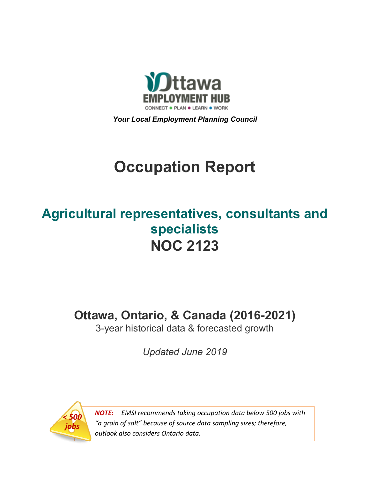

*Your Local Employment Planning Council*

# **Occupation Report**

# **Agricultural representatives, consultants and specialists NOC 2123**

**Ottawa, Ontario, & Canada (2016-2021)**

3-year historical data & forecasted growth

*Updated June 2019*



*NOTE: EMSI recommends taking occupation data below 500 jobs with "a grain of salt" because of source data sampling sizes; therefore, outlook also considers Ontario data.*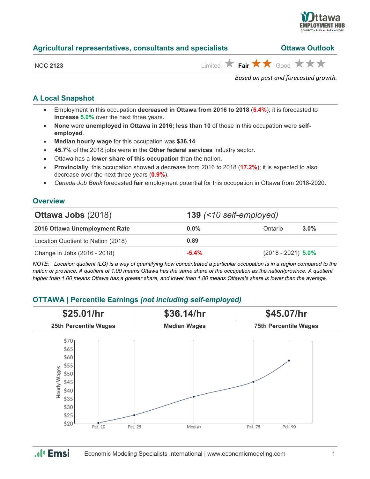

| Agricultural representatives, consultants and specialists | <b>Ottawa Outlook</b>                                                         |
|-----------------------------------------------------------|-------------------------------------------------------------------------------|
| <b>NOC 2123</b>                                           | Limited $\bigstar$ Fair $\bigstar \bigstar$ Good $\bigstar \bigstar \bigstar$ |
|                                                           | Based on past and forecasted growth.                                          |

# **A Local Snapshot**

- Employment in this occupation **decreased in Ottawa from 2016 to 2018** (**5.4%**); it is forecasted to **increase 5.0%** over the next three years.
- **None** were **unemployed in Ottawa in 2016; less than 10** of those in this occupation were **selfemployed**.
- **Median hourly wage** for this occupation was **\$36.14**.
- **45.7%** of the 2018 jobs were in the **Other federal services** industry sector.
- Ottawa has a **lower share of this occupation** than the nation.
- **Provincially**, this occupation showed a decrease from 2016 to 2018 (**17.2%**); it is expected to also decrease over the next three years (**0.9%**).
- *Canada Job Bank* forecasted **fair** employment potential for this occupation in Ottawa from 2018-2020.

# **Overview**

| <b>Ottawa Jobs (2018)</b>          | 139 $($ < 10 self-employed) |                      |         |  |
|------------------------------------|-----------------------------|----------------------|---------|--|
| 2016 Ottawa Unemployment Rate      | $0.0\%$                     | Ontario              | $3.0\%$ |  |
| Location Quotient to Nation (2018) | 0.89                        |                      |         |  |
| Change in Jobs (2016 - 2018)       | $-5.4\%$                    | $(2018 - 2021)$ 5.0% |         |  |

*NOTE: Location quotient (LQ) is a way of quantifying how concentrated a particular occupation is in a region compared to the nation or province. A quotient of 1.00 means Ottawa has the same share of the occupation as the nation/province. A quotient higher than 1.00 means Ottawa has a greater share, and lower than 1.00 means Ottawa's share is lower than the average.*

# **OTTAWA | Percentile Earnings** *(not including self-employed)*



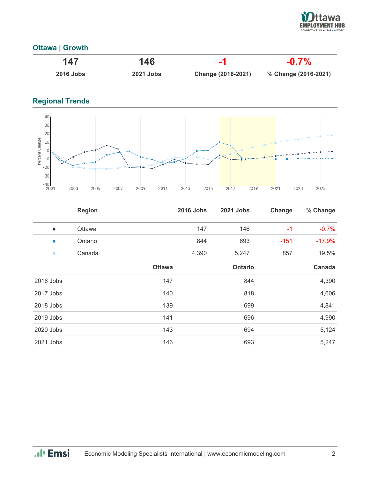

# **Ottawa | Growth**

|                  | 146              |                    |                      |
|------------------|------------------|--------------------|----------------------|
| <b>2016 Jobs</b> | <b>2021 Jobs</b> | Change (2016-2021) | % Change (2016-2021) |

# **Regional Trends**



|           | <b>Region</b> |               | <b>2016 Jobs</b> | 2021 Jobs | Change | % Change |
|-----------|---------------|---------------|------------------|-----------|--------|----------|
| $\bullet$ | Ottawa        |               | 147              | 146       | $-1$   | $-0.7%$  |
| $\bullet$ | Ontario       |               | 844              | 693       | $-151$ | $-17.9%$ |
| $\bullet$ | Canada        |               | 4,390            | 5,247     | 857    | 19.5%    |
|           |               | <b>Ottawa</b> |                  | Ontario   |        | Canada   |
| 2016 Jobs |               | 147           |                  | 844       |        | 4,390    |
| 2017 Jobs |               | 140           |                  | 818       |        | 4,606    |
| 2018 Jobs |               | 139           |                  | 699       |        | 4,841    |
| 2019 Jobs |               | 141           |                  | 696       |        | 4,990    |
| 2020 Jobs |               | 143           |                  | 694       |        | 5,124    |
| 2021 Jobs |               | 146           |                  | 693       |        | 5,247    |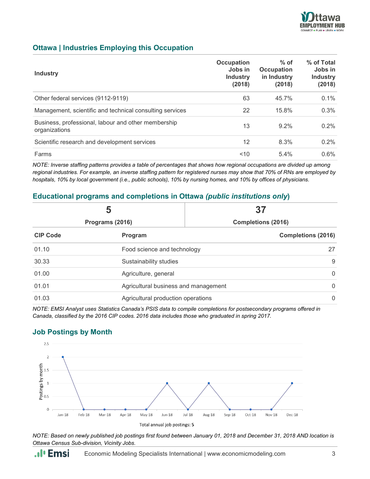

#### **Ottawa | Industries Employing this Occupation**

| <b>Industry</b>                                                      | Occupation<br>Jobs in<br><b>Industry</b><br>(2018) | $%$ of<br>Occupation<br>in Industry<br>(2018) | % of Total<br>Jobs in<br><b>Industry</b><br>(2018) |
|----------------------------------------------------------------------|----------------------------------------------------|-----------------------------------------------|----------------------------------------------------|
| Other federal services (9112-9119)                                   | 63                                                 | 45.7%                                         | 0.1%                                               |
| Management, scientific and technical consulting services             | 22                                                 | 15.8%                                         | 0.3%                                               |
| Business, professional, labour and other membership<br>organizations | 13                                                 | $9.2\%$                                       | $0.2\%$                                            |
| Scientific research and development services                         | 12                                                 | 8.3%                                          | 0.2%                                               |
| Farms                                                                | 10                                                 | 5.4%                                          | $0.6\%$                                            |

*NOTE: Inverse staffing patterns provides a table of percentages that shows how regional occupations are divided up among regional industries. For example, an inverse staffing pattern for registered nurses may show that 70% of RNs are employed by hospitals, 10% by local government (i.e., public schools), 10% by nursing homes, and 10% by offices of physicians.*

#### **Educational programs and completions in Ottawa** *(public institutions only***)**

|                 | 5                                                    | 37                        |  |  |
|-----------------|------------------------------------------------------|---------------------------|--|--|
| Programs (2016) |                                                      | <b>Completions (2016)</b> |  |  |
| <b>CIP Code</b> | Program                                              | <b>Completions (2016)</b> |  |  |
| 01.10           | Food science and technology                          | 27                        |  |  |
| 30.33           | Sustainability studies                               | 9                         |  |  |
| 01.00           | Agriculture, general                                 | $\overline{0}$            |  |  |
| 01.01           | Agricultural business and management<br>$\mathbf{0}$ |                           |  |  |
| 01.03           | Agricultural production operations<br>$\Omega$       |                           |  |  |

*NOTE: EMSI Analyst uses Statistics Canada's PSIS data to compile completions for postsecondary programs offered in Canada, classified by the 2016 CIP codes. 2016 data includes those who graduated in spring 2017.*

#### **Job Postings by Month**



*NOTE: Based on newly published job postings first found between January 01, 2018 and December 31, 2018 AND location is Ottawa Census Sub-division, Vicinity Jobs.*